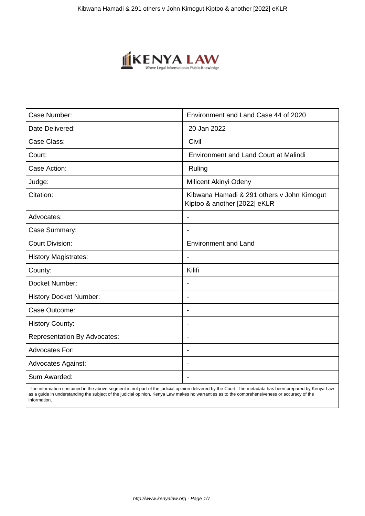

| Case Number:                        | Environment and Land Case 44 of 2020                                       |
|-------------------------------------|----------------------------------------------------------------------------|
| Date Delivered:                     | 20 Jan 2022                                                                |
| Case Class:                         | Civil                                                                      |
| Court:                              | <b>Environment and Land Court at Malindi</b>                               |
| Case Action:                        | Ruling                                                                     |
| Judge:                              | Milicent Akinyi Odeny                                                      |
| Citation:                           | Kibwana Hamadi & 291 others v John Kimogut<br>Kiptoo & another [2022] eKLR |
| Advocates:                          |                                                                            |
| Case Summary:                       |                                                                            |
| <b>Court Division:</b>              | <b>Environment and Land</b>                                                |
| <b>History Magistrates:</b>         | $\blacksquare$                                                             |
| County:                             | Kilifi                                                                     |
| Docket Number:                      |                                                                            |
| <b>History Docket Number:</b>       | $\overline{\phantom{a}}$                                                   |
| Case Outcome:                       | $\overline{\phantom{0}}$                                                   |
| <b>History County:</b>              | $\overline{\phantom{a}}$                                                   |
| <b>Representation By Advocates:</b> | $\overline{\phantom{0}}$                                                   |
| Advocates For:                      | $\overline{\phantom{a}}$                                                   |
| <b>Advocates Against:</b>           | $\overline{\phantom{0}}$                                                   |
| Sum Awarded:                        |                                                                            |

 The information contained in the above segment is not part of the judicial opinion delivered by the Court. The metadata has been prepared by Kenya Law as a guide in understanding the subject of the judicial opinion. Kenya Law makes no warranties as to the comprehensiveness or accuracy of the information.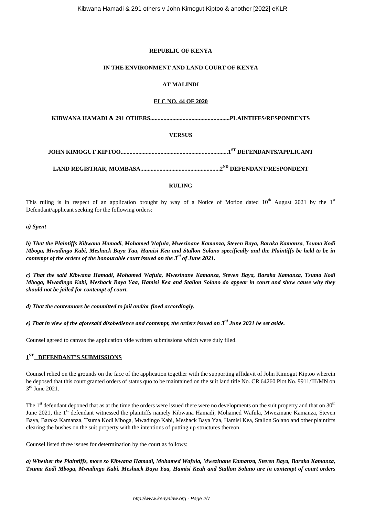## **REPUBLIC OF KENYA**

## **IN THE ENVIRONMENT AND LAND COURT OF KENYA**

## **AT MALINDI**

## **ELC NO. 44 OF 2020**

**KIBWANA HAMADI & 291 OTHERS......................................................PLAINTIFFS/RESPONDENTS**

## **VERSUS**

**JOHN KIMOGUT KIPTOO.........................................................................1ST DEFENDANTS/APPLICANT**

**LAND REGISTRAR, MOMBASA......................................................2ND DEFENDANT/RESPONDENT**

## **RULING**

This ruling is in respect of an application brought by way of a Notice of Motion dated  $10^{th}$  August 2021 by the  $1^{st}$ Defendant/applicant seeking for the following orders:

#### *a) Spent*

*b) That the Plaintiffs Kibwana Hamadi, Mohamed Wafula, Mwezinane Kamanza, Steven Baya, Baraka Kamanza, Tsuma Kodi Mboga, Mwadingo Kabi, Meshack Baya Yaa, Hamisi Kea and Stallon Solano specifically and the Plaintiffs be held to be in contempt of the orders of the honourable court issued on the 3rd of June 2021.*

*c) That the said Kibwana Hamadi, Mohamed Wafula, Mwezinane Kamanza, Steven Baya, Baraka Kamanza, Tsuma Kodi Mboga, Mwadingo Kabi, Meshack Baya Yaa, Hamisi Kea and Stallon Solano do appear in court and show cause why they should not be jailed for contempt of court.*

*d) That the contemnors be committed to jail and/or fined accordingly.*

*e) That in view of the aforesaid disobedience and contempt, the orders issued on 3rd June 2021 be set aside.*

Counsel agreed to canvas the application vide written submissions which were duly filed.

# **1 ST DEFENDANT'S SUBMISSIONS**

Counsel relied on the grounds on the face of the application together with the supporting affidavit of John Kimogut Kiptoo wherein he deposed that this court granted orders of status quo to be maintained on the suit land title No. CR 64260 Plot No. 9911/III/MN on 3<sup>rd</sup> June 2021.

The  $1<sup>st</sup>$  defendant deponed that as at the time the orders were issued there were no developments on the suit property and that on  $30<sup>th</sup>$ June 2021, the 1<sup>st</sup> defendant witnessed the plaintiffs namely Kibwana Hamadi, Mohamed Wafula, Mwezinane Kamanza, Steven Baya, Baraka Kamanza, Tsuma Kodi Mboga, Mwadingo Kabi, Meshack Baya Yaa, Hamisi Kea, Stallon Solano and other plaintiffs clearing the bushes on the suit property with the intentions of putting up structures thereon.

Counsel listed three issues for determination by the court as follows:

*a) Whether the Plaintiffs, more so Kibwana Hamadi, Mohamed Wafula, Mwezinane Kamanza, Steven Baya, Baraka Kamanza, Tsuma Kodi Mboga, Mwadingo Kabi, Meshack Baya Yaa, Hamisi Keah and Stallon Solano are in contempt of court orders*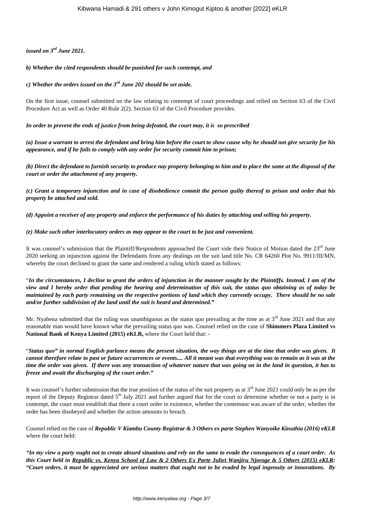*issued on 3rd June 2021.*

### *b) Whether the cited respondents should be punished for such contempt, and*

*c) Whether the orders issued on the 3rd June 202 should be set aside.*

On the first issue, counsel submitted on the law relating to contempt of court proceedings and relied on Section 63 of the Civil Procedure Act as well as Order 40 Rule 2(2). Section 63 of the Civil Procedure provides.

*In order to prevent the ends of justice from being defeated, the court may, it is so prescribed*

*(a) Issue a warrant to arrest the defendant and bring him before the court to show cause why he should not give security for his appearance, and if he fails to comply with any order for security commit him to prison;*

*(b) Direct the defendant to furnish security to produce nay property belonging to him and to place the same at the disposal of the court or order the attachment of any property.*

*(c) Grant a temporary injunction and in case of disobedience commit the person guilty thereof to prison and order that his property be attached and sold.*

*(d) Appoint a receiver of any property and enforce the performance of his duties by attaching and selling his property.*

#### *(e) Make such other interlocutory orders as may appear to the court to be just and convenient.*

It was counsel's submission that the Plaintiff/Respondents approached the Court vide their Notice of Motion dated the 23<sup>rd</sup> June 2020 seeking an injunction against the Defendants from any dealings on the suit land title No. CR 64260 Plot No. 9911/III/MN, whereby the court declined to grant the same and rendered a ruling which stated as follows:

"*In the circumstances, I decline to grant the orders of injunction in the manner sought by the Plaintiffs. Instead, I am of the view and I hereby order that pending the hearing and determination of this suit, the status quo obtaining as of today be maintained by each party remaining on the respective portions of land which they currently occupy. There should be no sale and/or further subdivision of the land until the suit is heard and determined."*

Mr. Nyabena submitted that the ruling was unambiguous as the status quo prevailing at the time as at  $3<sup>rd</sup>$  June 2021 and that any reasonable man would have known what the prevailing status quo was. Counsel relied on the case of **Shimmers Plaza Limited vs National Bank of Kenya Limited (2015) eKLR,** where the Court held that: -

"*Status quo" in normal English parlance means the present situation, the way things are at the time that order was given. It cannot therefore relate to past or future occurrences or events.... All it meant was that everything was to remain as it was at the time the order was given. If there was any transaction of whatever nature that was going on in the land in question, it has to freeze and await the discharging of the court order."*

It was counsel's further submission that the true position of the status of the suit property as at  $3<sup>rd</sup>$  June 2021 could only be as per the report of the Deputy Registrar dated  $5<sup>th</sup>$  July 2021 and further argued that for the court to determine whether or not a party is in contempt, the court must establish that there a court order in existence, whether the contemnor was aware of the order, whether the order has been disobeyed and whether the action amounts to breach.

Counsel relied on the case of *Republic V Kiambu County Registrar & 3 Others ex parte Stephen Wanyoike Kinuthia (2016) eKLR* where the court held:

*"In my view a party ought not to create absurd situations and rely on the same to evade the consequences of a court order. As this Court held in Republic vs. Kenya School of Law & 2 Others Ex Parte Juliet Wanjiru Njoroge & 5 Others (2015) eKLR: "Court orders, it must be appreciated are serious matters that ought not to be evaded by legal ingenuity or innovations. By*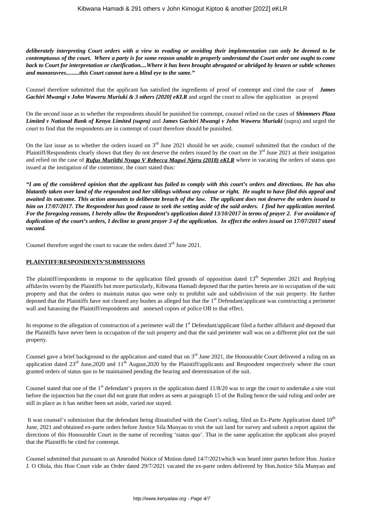*deliberately interpreting Court orders with a view to evading or avoiding their implementation can only be deemed to be contemptuous of the court. Where a party is for some reason unable to properly understand the Court order one ought to come back to Court for interpretation or clarification....Where it has been brought abrogated or abridged by brazen or subtle schemes and manoeuvres.........this Court cannot turn a blind eye to the same."*

Counsel therefore submitted that the applicant has satisfied the ingredients of proof of contempt and cited the case of *James Gachiri Mwangi v John Waweru Muriuki & 3 others [2020] eKLR* and urged the court to allow the application as prayed

On the second issue as to whether the respondents should be punished for contempt, counsel relied on the cases of *Shimmers Plaza Limited v National Bank of Kenya Limited (supra)* and *James Gachiri Mwangi v John Waweru Muriuki* (supra) and urged the court to find that the respondents are in contempt of court therefore should be punished.

On the last issue as to whether the orders issued on  $3<sup>rd</sup>$  June 2021 should be set aside, counsel submitted that the conduct of the Plaintiff/Respondents clearly shows that they do not deserve the orders issued by the court on the  $3<sup>rd</sup>$  June 2021 at their instigation and relied on the case of *Rufus Muriithi Nyaga V Rebecca Magwi Njeru (2018) eKLR* where in vacating the orders of status quo issued at the instigation of the contemnor, the court stated thus:

*"I am of the considered opinion that the applicant has failed to comply with this court's orders and directions. He has also blatantly taken over land of the respondent and her siblings without any colour or right. He ought to have filed this appeal and awaited its outcome. This action amounts to deliberate breach of the law. The applicant does not deserve the orders issued to him on 17/07/2017. The Respondent has good cause to seek the setting aside of the said orders. I find her application merited. For the foregoing reasons, I hereby allow the Respondent's application dated 13/10/2017 in terms of prayer 2. For avoidance of duplication of the court's orders, I decline to grant prayer 3 of the application. In effect the orders issued on 17/07/2017 stand vacated.*

Counsel therefore urged the court to vacate the orders dated  $3<sup>rd</sup>$  June 2021.

#### **PLAINTIFF/RESPONDENTS'SUBMISSIONS**

The plaintiff/respondents in response to the application filed grounds of opposition dated  $13<sup>th</sup>$  September 2021 and Replying affidavits sworn by the Plaintiffs but more particularly, Kibwana Hamadi deposed that the parties herein are in occupation of the suit property and that the orders to maintain status quo were only to prohibit sale and subdivision of the suit property. He further deponed that the Plaintiffs have not cleared any bushes as alleged but that the  $1<sup>st</sup>$  Defendant/applicant was constructing a perimeter wall and harassing the Plaintiff/respondents and annexed copies of police OB to that effect.

In response to the allegation of construction of a perimeter wall the  $1<sup>st</sup>$  Defendant/applicant filed a further affidavit and deposed that the Plaintiffs have never been in occupation of the suit property and that the said perimeter wall was on a different plot not the suit property.

Counsel gave a brief background to the application and stated that on 3<sup>rd</sup> June 2021, the Honourable Court delivered a ruling on an application dated  $23<sup>rd</sup>$  June,2020 and  $11<sup>th</sup>$  August,2020 by the Plaintiff/applicants and Respondent respectively where the court granted orders of status quo to be maintained pending the hearing and determination of the suit.

Counsel stated that one of the  $1<sup>st</sup>$  defendant's prayers in the application dated  $11/8/20$  was to urge the court to undertake a site visit before the injunction but the court did not grant that orders as seen at paragraph 15 of the Ruling hence the said ruling and order are still in place as it has neither been set aside, varied nor stayed.

It was counsel's submission that the defendant being dissatisfied with the Court's ruling, filed an Ex-Parte Application dated  $10<sup>th</sup>$ June, 2021 and obtained ex-parte orders before Justice Sila Munyao to visit the suit land for survey and submit a report against the directions of this Honourable Court in the name of recording 'status quo'. That in the same application the applicant also prayed that the Plaintiffs be cited for contempt.

Counsel submitted that pursuant to an Amended Notice of Motion dated 14/7/2021which was heard inter partes before Hon. Justice J. O Olola, this Hon Court vide an Order dated 29/7/2021 vacated the ex-parte orders delivered by Hon.Justice Sila Munyao and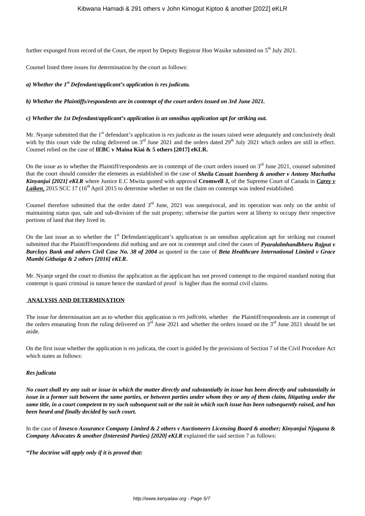further expunged from record of the Court, the report by Deputy Registrar Hon Wasike submitted on 5<sup>th</sup> July 2021.

Counsel listed three issues for determination by the court as follows:

*a) Whether the 1st Defendant/applicant's application is res judicata.*

*b) Whether the Plaintiffs/respondents are in contempt of the court orders issued on 3rd June 2021.*

*c) Whether the 1st Defendant/applicant's application is an omnibus application apt for striking out.*

Mr. Nyanje submitted that the 1<sup>st</sup> defendant's application is *res judicata* as the issues raised were adequately and conclusively dealt with by this court vide the ruling delivered on  $3<sup>rd</sup>$  June 2021 and the orders dated 29<sup>th</sup> July 2021 which orders are still in effect. Counsel relied on the case of **IEBC v Maina Kiai & 5 others [2017] eKLR.**

On the issue as to whether the Plaintiff/respondents are in contempt of the court orders issued on  $3<sup>rd</sup>$  June 2021, counsel submitted that the court should consider the elements as established in the case of *Sheila Cassatt Issenberg & another v Antony Machatha Kinyanjui [2021] eKLR* where Justice E.C Mwita quoted with approval **Cromwell J,** of the Supreme Court of Canada in *Carey v* **Laiken**, 2015 SCC 17 (16<sup>th</sup> April 2015 to determine whether or not the claim on contempt was indeed established.

Counsel therefore submitted that the order dated  $3<sup>rd</sup>$  June, 2021 was unequivocal, and its operation was only on the ambit of maintaining status quo, sale and sub-division of the suit property; otherwise the parties were at liberty to occupy their respective portions of land that they lived in.

On the last issue as to whether the  $1<sup>st</sup>$  Defendant/applicant's application is an omnibus application apt for striking out counsel submitted that the Plaintiff/respondents did nothing and are not in contempt and cited the cases of *Pyaralalmhandbheru Rajput v Barclays Bank and others Civil Case No. 38 of 2004* as quoted in the case of *Beta Healthcare International Limited v Grace Mumbi Githaiga & 2 others [2016] eKLR***.**

Mr. Nyanje urged the court to dismiss the application as the applicant has not proved contempt to the required standard noting that contempt is quasi criminal in nature hence the standard of proof is higher than the normal civil claims.

#### **ANALYSIS AND DETERMINATION**

The issue for determination are as to whether this application is *res judicata,* whether the Plaintiff/respondents are in contempt of the orders emanating from the ruling delivered on  $3<sup>rd</sup>$  June 2021 and whether the orders issued on the  $3<sup>rd</sup>$  June 2021 should be set aside.

On the first issue whether the application is res judicata, the court is guided by the provisions of Section 7 of the Civil Procedure Act which states as follows:

#### *Res judicata*

*No court shall try any suit or issue in which the matter directly and substantially in issue has been directly and substantially in issue in a former suit between the same parties, or between parties under whom they or any of them claim, litigating under the same title, in a court competent to try such subsequent suit or the suit in which such issue has been subsequently raised, and has been heard and finally decided by such court.*

In the case of *Invesco Assurance Company Limited & 2 others v Auctioneers Licensing Board & another; Kinyanjui Njuguna & Company Advocates & another (Interested Parties) [2020] eKLR* explained the said section 7 as follows:

*"The doctrine will apply only if it is proved that:*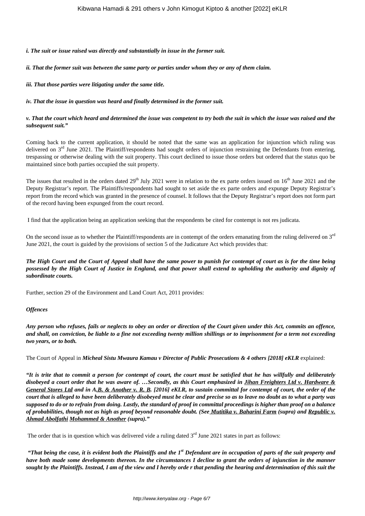*i. The suit or issue raised was directly and substantially in issue in the former suit.*

*ii. That the former suit was between the same party or parties under whom they or any of them claim.*

*iii. That those parties were litigating under the same title.*

*iv. That the issue in question was heard and finally determined in the former suit.*

### *v. That the court which heard and determined the issue was competent to try both the suit in which the issue was raised and the subsequent suit."*

Coming back to the current application, it should be noted that the same was an application for injunction which ruling was delivered on  $3<sup>rd</sup>$  June 2021. The Plaintiff/respondents had sought orders of injunction restraining the Defendants from entering, trespassing or otherwise dealing with the suit property. This court declined to issue those orders but ordered that the status quo be maintained since both parties occupied the suit property.

The issues that resulted in the orders dated  $29<sup>th</sup>$  July 2021 were in relation to the ex parte orders issued on  $16<sup>th</sup>$  June 2021 and the Deputy Registrar's report. The Plaintiffs/respondents had sought to set aside the ex parte orders and expunge Deputy Registrar's report from the record which was granted in the presence of counsel. It follows that the Deputy Registrar's report does not form part of the record having been expunged from the court record.

I find that the application being an application seeking that the respondents be cited for contempt is not res judicata.

On the second issue as to whether the Plaintiff/respondents are in contempt of the orders emanating from the ruling delivered on  $3<sup>rd</sup>$ June 2021, the court is guided by the provisions of section 5 of the Judicature Act which provides that:

*The High Court and the Court of Appeal shall have the same power to punish for contempt of court as is for the time being possessed by the High Court of Justice in England, and that power shall extend to upholding the authority and dignity of subordinate courts.*

Further, section 29 of the Environment and Land Court Act, 2011 provides:

#### *Offences*

*Any person who refuses, fails or neglects to obey an order or direction of the Court given under this Act, commits an offence, and shall, on conviction, be liable to a fine not exceeding twenty million shillings or to imprisonment for a term not exceeding two years, or to both.*

The Court of Appeal in *Micheal Sistu Mwaura Kamau v Director of Public Prosecutions & 4 others [2018] eKLR* explained:

*"It is trite that to commit a person for contempt of court, the court must be satisfied that he has willfully and deliberately disobeyed a court order that he was aware of. …Secondly, as this Court emphasized in Jihan Freighters Ltd v. Hardware & General Stores Ltd and in A.B. & Another v. R. B. [2016] eKLR, to sustain committal for contempt of court, the order of the court that is alleged to have been deliberately disobeyed must be clear and precise so as to leave no doubt as to what a party was supposed to do or to refrain from doing. Lastly, the standard of proof in committal proceedings is higher than proof on a balance of probabilities, though not as high as proof beyond reasonable doubt. (See Mutitika v. Baharini Farm (supra) and Republic v. Ahmad Abolfathi Mohammed & Another (supra)."*

The order that is in question which was delivered vide a ruling dated  $3<sup>rd</sup>$  June 2021 states in part as follows:

*"That being the case, it is evident both the Plaintiffs and the 1st Defendant are in occupation of parts of the suit property and have both made some developments thereon. In the circumstances I decline to grant the orders of injunction in the manner sought by the Plaintiffs. Instead, I am of the view and I hereby orde r that pending the hearing and determination of this suit the*